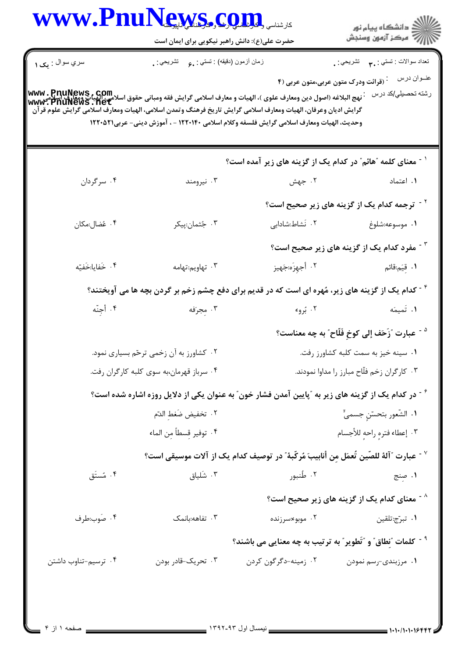|                                          | حضرت علی(ع): دانش راهبر نیکویی برای ایمان است  |                                                                                                                                                                                                                                                                                                                                                                                                      | ر<br>دانشڪاه پيام نور)<br>سڪز آزمون وسنڊش                    |  |
|------------------------------------------|------------------------------------------------|------------------------------------------------------------------------------------------------------------------------------------------------------------------------------------------------------------------------------------------------------------------------------------------------------------------------------------------------------------------------------------------------------|--------------------------------------------------------------|--|
| سري سوال : يک ۱                          | زمان أزمون (دقيقه) : تستي : , و     تشريحي : . |                                                                                                                                                                                                                                                                                                                                                                                                      | نعداد سوالات : تستبي : پم       تشريحي : .                   |  |
|                                          |                                                | <sup>:</sup> (قرائت ودرک متون عربی،متون عربی (۴<br>' نهج البلاغه (اصول دين ومعارف علوى )، الهيات و معارف اسلامى گرايش فقه ومبانى حقوق اسلامى، الهيات ومعارف علوى<br>Www ، PnuNews ، Net<br>گرایش ادیان وعرفان، الهیات ومعارف اسلامی گرایش تاریخ فرهنگ وتمدن اسلامی، الهیات ومعارف اسلامی گرایش علوم قرآن<br>وحديث، الهيات ومعارف اسلامي گرايش فلسفه وكلام اسلامي ١٢٢٠١۴٠ - ، آموزش ديني- عربي١٢٢٠٥٢١ | عنــوان درس<br>رشته تحصيلي/كد درس                            |  |
|                                          |                                                | <sup>۱</sup> <sup>-</sup> معنای کلمه "هائم" در کدام یک از گزینه های زیر آمده است؟                                                                                                                                                                                                                                                                                                                    |                                                              |  |
| ۰۴ سرگردان                               | ۰۳ نیرومند                                     |                                                                                                                                                                                                                                                                                                                                                                                                      | ۰۱ اعتماد میشی در مواد از این مواد است.<br>ا                 |  |
|                                          |                                                |                                                                                                                                                                                                                                                                                                                                                                                                      | <sup>۲ -</sup> ترجمه کدام یک از گزینه های زیر صحیح است؟      |  |
| ۰۴ عُضال:مکان                            | ۰۳ جُثمان:پيکر                                 |                                                                                                                                                                                                                                                                                                                                                                                                      | ۰۱ موسوعه:شلوغ در ۲۰ نشاط:شادابی                             |  |
|                                          |                                                |                                                                                                                                                                                                                                                                                                                                                                                                      | $^{\circ}$ مفرد کدام یک از گزینه های زیر صحیح است $^{\circ}$ |  |
| ۴. خَفايا:خَفيّه                         | ۰۳ تهاویم:تهامه                                |                                                                                                                                                                                                                                                                                                                                                                                                      |                                                              |  |
|                                          |                                                | <sup>۴ -</sup> کدام یک از گزینه های زیر، مُهره ای است که در قدیم برای دفع چشم زخم بر گردن بچه ها می آویختند؟                                                                                                                                                                                                                                                                                         |                                                              |  |
| ۰۴ أُجِنّه                               | ۰۳ مجرّفه                                      | ۰۲ بُروء                                                                                                                                                                                                                                                                                                                                                                                             | ٠١ تَميمَه                                                   |  |
|                                          |                                                |                                                                                                                                                                                                                                                                                                                                                                                                      | <sup>۵ -</sup> عبارت  ّزَحَف إلى كوخٍ فَلّاح ّ به چه معناست؟ |  |
| ۰۲ کشاورز به آن زخمی ترحّم بسیاری نمود.  |                                                |                                                                                                                                                                                                                                                                                                                                                                                                      | ۰۱ سینه خیز به سمت کلبه کشاورز رفت.                          |  |
| ۰۴ سرباز قهرمان،به سوى كلبه كارگران رفت. |                                                | ۰۳ کارگران زخم فلّاح مبارز را مداوا نمودند.                                                                                                                                                                                                                                                                                                                                                          |                                                              |  |
|                                          |                                                | ٔ <sup>۶</sup> در کدام یک از گزینه های زیر به ″پایین آمدن فشار خون″ به عنوان یکی از دلایل روزه اشاره شده است؟                                                                                                                                                                                                                                                                                        |                                                              |  |
|                                          | ٢.  تخفيض ضَغطِ الدّم                          |                                                                                                                                                                                                                                                                                                                                                                                                      | ٠١ الشّعور بتحسّنٍ جسمىٍّ                                    |  |
|                                          | ۰۴ توفير قسطاً من الماء                        |                                                                                                                                                                                                                                                                                                                                                                                                      | ٠٣ إعطاء فتره راحه للأجسام                                   |  |
|                                          |                                                | عبارت "آلهٔ للصّين تُعمَل من أنابيبَ مُركّبهٔ "در توصيف كدام يک از آلات موسيقى است؟ "                                                                                                                                                                                                                                                                                                                |                                                              |  |
| ۰۴ مُستَق                                | ۰۳ شَلياق                                      | ۰۲ طُنبور                                                                                                                                                                                                                                                                                                                                                                                            | ۱. صنج                                                       |  |
|                                          |                                                |                                                                                                                                                                                                                                                                                                                                                                                                      | ریر صحیح است؟ * - ^ معنای زیر محیح است * ^ - ^ معنای کدام یک |  |
| ۰۴ صَوب:طرف                              | ۰۳ تفاهه:بانمک                                 | ۰۲ موبوء:سرزنده                                                                                                                                                                                                                                                                                                                                                                                      | ۰۱ تبرّج:تلقين                                               |  |
|                                          |                                                | <sup>۹ -</sup> كلمات "نطاق" و "تَطویر" به ترتیب به چه معنایی می باشند؟                                                                                                                                                                                                                                                                                                                               |                                                              |  |
| ۰۴ ترسیم-تناوب داشتن                     | ۰۳ تحریک-قادر بودن                             | ۰۲ زمینه-دگرگون کردن                                                                                                                                                                                                                                                                                                                                                                                 | ۰۱ مرزبندی-رسم نمودن                                         |  |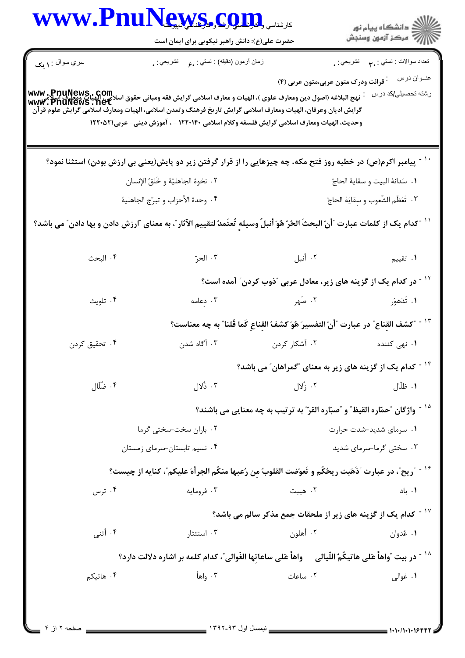|                 | حضرت علی(ع): دانش راهبر نیکویی برای ایمان است                                                                                                                                                                                                                                                                                                                            |                                                                                                   | ڪ دانشڪاه پيام نور<br><mark>ر</mark> ⊽ مرڪز آزمون وسنڊش |
|-----------------|--------------------------------------------------------------------------------------------------------------------------------------------------------------------------------------------------------------------------------------------------------------------------------------------------------------------------------------------------------------------------|---------------------------------------------------------------------------------------------------|---------------------------------------------------------|
| سري سوال : ۱ يک | زمان أزمون (دقيقه) : تستي : <sub>م</sub> و     تشريحي : .                                                                                                                                                                                                                                                                                                                |                                                                                                   | تعداد سوالات : تستي : پم       تشريحي : .               |
|                 | www , PnuNews , Gom<br>نهج البلاغه (اصول دين ومعارف علوى )، الهيات و معارف اسلامى گرايش فقه ومبانى حقوق اسلاط المع الله عليه الله عل<br>www , PnuNews , het<br>گرایش ادیان وعرفان، الهیات ومعارف اسلامی گرایش تاریخ فرهنگ وتمدن اسلامی، الهیات ومعارف اسلامی گرایش علوم قرآن<br>وحديث، الهيات ومعارف اسلامي گرايش فلسفه وكلام اسلامي ١٢٢٠١۴٠ - ، آموزش ديني- عربي١٢٢٠٥٢١ | قرائت ودرک متون عربی،متون عربی (۴)                                                                | عنــوان درس<br>رشته تحصيلي/كد درس                       |
|                 | <sup>۱۰ -</sup> پیامبر اکرم(ص) در خطبه روز فتح مکه، چه چیزهایی را از قرار گرفتن زیر دو پایش(یعنی بی ارزش بودن) استثنا نمود؟                                                                                                                                                                                                                                              |                                                                                                   |                                                         |
|                 | ٢. نخوة الجاهليّة و خَلقُ الإنسان                                                                                                                                                                                                                                                                                                                                        |                                                                                                   | ٠١ سَدانهٔ البيت و سقايهٔ الحاجّ                        |
|                 | ۴. وحدة الأحزاب و تبرّج الجاهلية                                                                                                                                                                                                                                                                                                                                         |                                                                                                   | ٣. تَعَظّم الشّعوب و سِقايَهٔ الحاجّ                    |
|                 | `` -كدام يك از كلمات عبارت "أنّ البحثَ الحُرّ هُوَ أنبلُ وسيلهٍ تُعتَمدُ لتقييم الآثار"، به معناى "ارزش دادن و بها دادن" مى باشد؟                                                                                                                                                                                                                                        |                                                                                                   |                                                         |
| ۰۴ البحث        | ۰۳ الحرّ                                                                                                                                                                                                                                                                                                                                                                 | ٠٢ أنبل                                                                                           | ۰۱ تقییم                                                |
|                 |                                                                                                                                                                                                                                                                                                                                                                          | <sup>۱۲ -</sup> در کدام یک از گزینه های زیر، معادل عربی آذوب کردن ّ آمده است؟                     |                                                         |
| ۰۴ تلويث        | ۰۳ دعامه                                                                                                                                                                                                                                                                                                                                                                 | ٢. صَهر                                                                                           | ۱. تَدَهوُ <sub>ر</sub>                                 |
|                 |                                                                                                                                                                                                                                                                                                                                                                          | <sup>١٣ -</sup> "كشف القِناع" در عبارت "أنّ التفسيرَ هُوَ كشفُ القِناعِ كَما قُلنا" به چه معناست؟ |                                                         |
| ۰۴ تحقیق کردن   | ۰۳ آگاه شدن                                                                                                                                                                                                                                                                                                                                                              | ۰۲ آشکار کردن                                                                                     | <mark>۱</mark> . نهی کننده                              |
|                 |                                                                                                                                                                                                                                                                                                                                                                          | <sup>۱۴ -</sup> کدام یک از گزینه های زیر به معنای "گمراهان" می باشد؟                              |                                                         |
| ۰۴ ضُلَّال      | ۰۳ ذُلال                                                                                                                                                                                                                                                                                                                                                                 | ۰۲ زُلال                                                                                          | ۰۱ ظلّال                                                |
|                 |                                                                                                                                                                                                                                                                                                                                                                          | <sup>۱۵ -</sup> واژگان ″حمّاره القیظ″ و ″صبّاره القرّ″ به ترتیب به چه معنایی می باشند؟            |                                                         |
|                 | ۰۲ باران سخت-سختی گرما                                                                                                                                                                                                                                                                                                                                                   |                                                                                                   | ۰۱ سرمای شدید-شدت حرارت                                 |
|                 | ۰۴ نسیم تابستان-سرمای زمستان                                                                                                                                                                                                                                                                                                                                             |                                                                                                   | ۰۳ سختی گرما-سرمای شدید                                 |
|                 | <sup>16 -</sup> "ريح"، در عبارت "ذَهَبت ريحُكُم و تَعوّضت القلوبُ مِن رُعبها منكُم الجرأهَ عليكم"، كنايه از چيست؟                                                                                                                                                                                                                                                        |                                                                                                   |                                                         |
| ۰۴ ترس          | ۰۳ فرومايه                                                                                                                                                                                                                                                                                                                                                               | ۰۲ هیبت                                                                                           | ۰۱. باد                                                 |
|                 |                                                                                                                                                                                                                                                                                                                                                                          | $^{\circ}$ لا - کدام یک از گزینه های زیر از ملحقات جمع مذکر سالم می باشد $^{\circ}$               |                                                         |
| ۰۴ أثنى         | ۰۳ استئثار                                                                                                                                                                                                                                                                                                                                                               | ۰۲ أهلون                                                                                          | ۰۱ عُدوان                                               |
|                 | <sup>۱۸ -</sup> در بيت  ّواهاً عَلى هاتيكُمُ اللّيالي     واهاً عَلى ساعاتها الغَوالي ّ، كدام كلمه بر اشاره دلالت دارد؟                                                                                                                                                                                                                                                  |                                                                                                   |                                                         |
|                 |                                                                                                                                                                                                                                                                                                                                                                          |                                                                                                   |                                                         |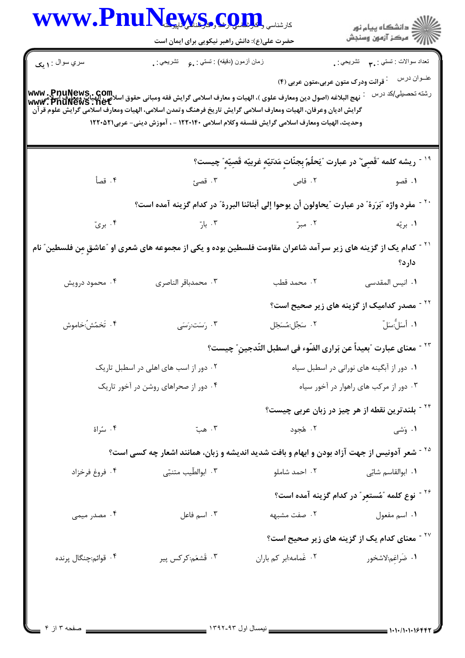|                        | حضرت علی(ع): دانش راهبر نیکویی برای ایمان است                                                                                                                                                             |                                                                                                | <br>   <br>   > مرکز آزمون وسنجش                                                                     |
|------------------------|-----------------------------------------------------------------------------------------------------------------------------------------------------------------------------------------------------------|------------------------------------------------------------------------------------------------|------------------------------------------------------------------------------------------------------|
|                        |                                                                                                                                                                                                           |                                                                                                |                                                                                                      |
| سري سوال : <b>۱ يک</b> | زمان أزمون (دقيقه) : تستي : , و     تشريحي : .                                                                                                                                                            |                                                                                                | تعداد سوالات : تستي : پم       تشريحي : <sub>.</sub>                                                 |
|                        |                                                                                                                                                                                                           | <sup>:</sup> قرائت ودرک متون عربی،متون عربی (۴)                                                | عنــوان درس                                                                                          |
|                        |                                                                                                                                                                                                           |                                                                                                | رشته تحصيل <i>ي </i> كد درس                                                                          |
|                        | گرایش ادیان وعرفان، الهیات ومعارف اسلامی گرایش تاریخ فرهنگ وتمدن اسلامی، الهیات ومعارف اسلامی گرایش علوم قرآن<br>وحديث، الهيات ومعارف اسلامي گرايش فلسفه وكلام اسلامي ١٢٢٠١۴٠ - ، آموزش ديني- عربي١٢٢٠٥٢١ |                                                                                                |                                                                                                      |
|                        |                                                                                                                                                                                                           |                                                                                                |                                                                                                      |
|                        |                                                                                                                                                                                                           | <sup>١٩ -</sup> ريشه كلمه "قَصِىّ" در عبارت "يَحلُمُ بِجنّاتٍ مَدَنيّهٍ غربيّه قَصِيّهٍ" چيست؟ |                                                                                                      |
| ۰۴ قصأ                 |                                                                                                                                                                                                           |                                                                                                |                                                                                                      |
|                        |                                                                                                                                                                                                           |                                                                                                |                                                                                                      |
|                        | `` ` مفرد واژه 'بَرَرة' در عبارت 'يحاولون أن يوحوا إلى أبنائنا البررة' در كدام گزينه آمده است؟                                                                                                            |                                                                                                |                                                                                                      |
| ۰۴ بريّ                |                                                                                                                                                                                                           |                                                                                                | ۰۱ بریّه                                                                                             |
|                        | <sup>۲۱ -</sup> کدام یک از گزینه های زیر سرآمد شاعران مقاومت فلسطین بوده و یکی از مجموعه های شعری او ″عاشقٍ مِن فلسطین″ نام                                                                               |                                                                                                |                                                                                                      |
|                        |                                                                                                                                                                                                           |                                                                                                | دارد؟                                                                                                |
| ۰۴ محمود درویش         | ۰۳ محمدباقر الناصري                                                                                                                                                                                       | ٢. محمد قطب                                                                                    | ۰۱ انیس المقدسی                                                                                      |
|                        |                                                                                                                                                                                                           |                                                                                                | <sup>۲۲ -</sup> مصدر کدامیک از گزینه های زیر صحیح است؟                                               |
| ۴. تَخمُشُ:خاموش       | ۰۳ رَسَت:رَسَى                                                                                                                                                                                            |                                                                                                | ١. أَسَلُّ:سَلّ                                                                                      |
|                        |                                                                                                                                                                                                           | <sup>٢٣ -</sup> معناى عبارت 'بعيداً عن بَرارى الضّوء فى اسطبل التّدجينِ ؒ چيست؟                |                                                                                                      |
|                        | ۰۲ دور از اسب های اهلی در اسطبل تاریک                                                                                                                                                                     | ٠١ دور از آبگینه های نورانی در اسطبل سیاه                                                      |                                                                                                      |
|                        | ۰۴ دور از صحراهای روشن در آخور تاریک                                                                                                                                                                      | ۰۳ دور از مرکب های راهوار در آخور سیاه                                                         |                                                                                                      |
|                        |                                                                                                                                                                                                           |                                                                                                | <sup>۲۴ -</sup> بلندترین نقطه از هر چیز در زبان عربی چیست؟                                           |
| ۰۴ سُراهٔ              | ۰۳ هبّ                                                                                                                                                                                                    | ۰۲ هُجود                                                                                       | ۰۱ وَشی                                                                                              |
|                        | <sup>۲۵ -</sup> شعر آدونیس از جهت آزاد بودن و ابهام و بافت شدید اندیشه و زبان، همانند اشعار چه کسی است؟                                                                                                   |                                                                                                |                                                                                                      |
| ۰۴ فروغ فرخزاد         | ۰۳ ابوالطّیب متنبّ <i>ی</i>                                                                                                                                                                               |                                                                                                |                                                                                                      |
|                        |                                                                                                                                                                                                           |                                                                                                | <sup>۲۶ -</sup> نوع کلمه <sup>"</sup> مُستعِر <sup>"</sup> در کدام گزینه آمده است؟                   |
| ۰۴ مصدر میمی           | ۰۳ اسم فاعل                                                                                                                                                                                               |                                                                                                | ۰۱ اسم مفعول مسلم است است به اسلام اسم مفعول مسلم اسلام اسلام اسلام اسلام اسلام اسلام اسلام اسلام اس |
|                        |                                                                                                                                                                                                           |                                                                                                | <sup>۲۷ -</sup> معنای کدام یک از گزینه های زیر صحیح است؟                                             |
|                        |                                                                                                                                                                                                           |                                                                                                |                                                                                                      |